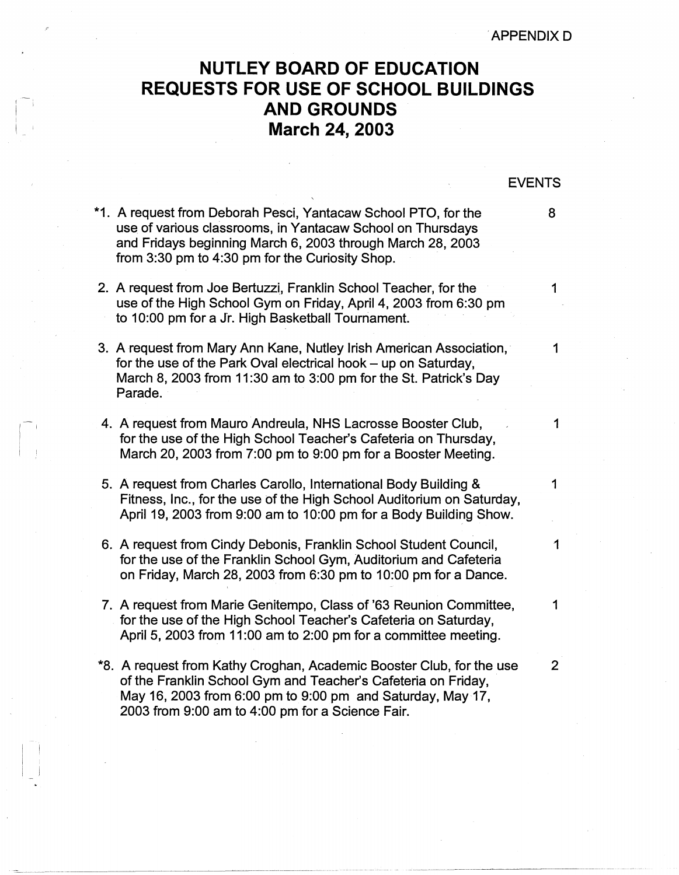## **NUTLEY BOARD OF EDUCATION REQUESTS FOR USE OF SCHOOL BUILDINGS AND GROUNDS March 24, 2003**

## EVENTS

1

- \*1. A request from Deborah Pesci, Yantacaw School PTO, for the 8 use of various classrooms, in Yantacaw School on Thursdays and Fridays beginning March 6, 2003 through March 28, 2003 from 3:30 pm to 4:30 pm for the Curiosity Shop.
- 2. A request from Joe Bertuzzi, Franklin School Teacher, for the 1 use of the High School Gym on Friday, April 4, 2003 from 6:30 pm to 10:00 pm for a Jr. High Basketball Tournament.
- 3. A request from Mary Ann Kane, Nutley Irish American Association, 1994 for the use of the Park Oval electrical hook  $-$  up on Saturday, March 8, 2003 from 11:30 am to 3:00 pm for the St. Patrick's Day Parade.
- 4. A request from Mauro Andreula, NHS Lacrosse Booster Club, for the use of the High School Teacher's Cafeteria on Thursday, March 20, 2003 from 7:00 pm to 9:00 pm for a Booster Meeting.

 $\mathbb{R}^n$ 

- 5. A request from Charles Carollo, International Body Building & 1 Fitness, Inc., for the use of the High School Auditorium on Saturday, April 19, 2003 from 9:00 am to 10:00 pm for a Body Building Show.
- 6. A request from Cindy Debonis, Franklin School Student Council, 1 for the use of the Franklin School Gym, Auditorium and Cafeteria on Friday, March 28, 2003 from 6:30 pm to 10:00 pm for a Dance.
- 7. A request from Marie Genitempo, Class of '63 Reunion Committee, 1 for the use of the High School Teacher's Cafeteria on Saturday, April 5, 2003 from 11:00 am to 2:00 pm for a committee meeting.
- \*8. A request from Kathy Croghan, Academic Booster Club, for the use 2 of the Franklin School Gym and Teacher's Cafeteria on Friday, · May 16, 2003 from 6:00 pm to 9:00 pm and Saturday, May 17, 2003 from 9:00 am to 4:00 pm for a Science Fair.